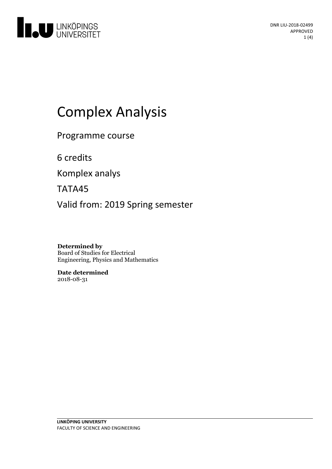

# Complex Analysis

Programme course

6 credits

Komplex analys

TATA45

Valid from: 2019 Spring semester

**Determined by** Board of Studies for Electrical Engineering, Physics and Mathematics

**Date determined** 2018-08-31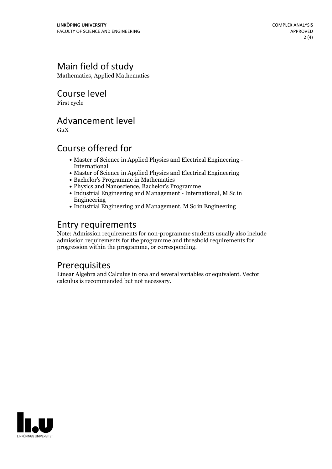### Main field of study

Mathematics, Applied Mathematics

Course level

First cycle

#### Advancement level

 $G<sub>2</sub>X$ 

#### Course offered for

- Master of Science in Applied Physics and Electrical Engineering International
- Master of Science in Applied Physics and Electrical Engineering
- Bachelor's Programme in Mathematics
- Physics and Nanoscience, Bachelor's Programme
- Industrial Engineering and Management International, M Sc in Engineering
- Industrial Engineering and Management, M Sc in Engineering

#### Entry requirements

Note: Admission requirements for non-programme students usually also include admission requirements for the programme and threshold requirements for progression within the programme, or corresponding.

#### Prerequisites

Linear Algebra and Calculus in ona and several variables or equivalent. Vector calculus is recommended but not necessary.

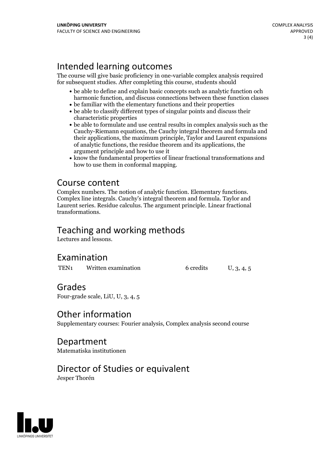## Intended learning outcomes

The course will give basic proficiency in one-variable complex analysis required for subsequent studies. After completing this course, students should

- be able to define and explain basic concepts such as analytic function och harmonic function, and discuss connections between these function classes
- be familiar with the elementary functions and their properties
- be able to classify different types of singular points and discuss their characteristic properties
- be able to formulate and use central results in complex analysis such as the Cauchy-Riemann equations, the Cauchy integral theorem and formula and their applications, the maximum principle,Taylor and Laurent expansions of analytic functions, the residue theorem and itsapplications, the argument principle and how to use it
- know the fundamental properties of linear fractional transformations and how to use them in conformal mapping.

**Course content**<br>Complex numbers. The notion of analytic function. Elementary functions. Complex line integrals. Cauchy's integral theorem and formula. Taylor and Laurent series. Residue calculus. The argument principle. Linear fractional transformations.

#### Teaching and working methods

Lectures and lessons.

#### Examination

TEN<sub>1</sub> Written examination 6 credits U, 3, 4, 5

#### Grades

Four-grade scale, LiU, U, 3, 4, 5

#### Other information

Supplementary courses: Fourier analysis, Complex analysis second course

Department Matematiska institutionen

#### Director of Studies or equivalent

Jesper Thorén